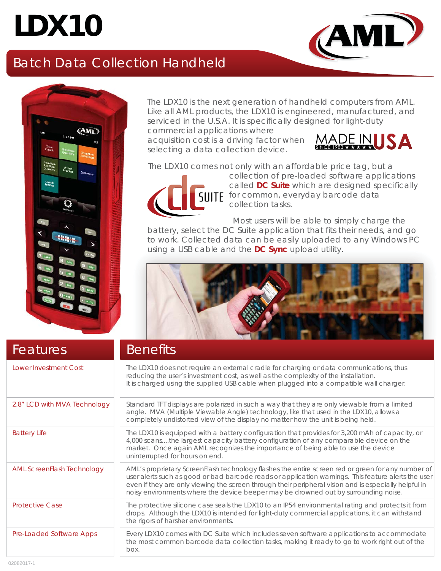# **LDX10**

# Batch Data Collection Handheld



The LDX10 is the next generation of handheld computers from AML. Like all AML products, the LDX10 is engineered, manufactured, and serviced in the U.S.A. It is specifically designed for light-duty

commercial applications where acquisition cost is a driving factor when selecting a data collection device.



The LDX10 comes not only with an affordable price tag, but a



collection of pre-loaded software applications called *DC Suite* which are designed specifically **SUITE** for common, everyday barcode data collection tasks.

 Most users will be able to simply charge the battery, select the DC Suite application that fits their needs, and go to work. Collected data can be easily uploaded to any Windows PC using a USB cable and the *DC Sync* upload utility.



| Features                          | <b>Benefits</b>                                                                                                                                                                                                                                                                                                                                                                                          |
|-----------------------------------|----------------------------------------------------------------------------------------------------------------------------------------------------------------------------------------------------------------------------------------------------------------------------------------------------------------------------------------------------------------------------------------------------------|
| Lower Investment Cost             | The LDX10 does not require an external cradle for charging or data communications, thus<br>reducing the user's investment cost, as well as the complexity of the installation.<br>It is charged using the supplied USB cable when plugged into a compatible wall charger.                                                                                                                                |
| 2.8" LCD with MVA Technology      | Standard TFT displays are polarized in such a way that they are only viewable from a limited<br>angle. MVA (Multiple Viewable Angle) technology, like that used in the LDX10, allows a<br>completely undistorted view of the display no matter how the unit is being held.                                                                                                                               |
| <b>Battery Life</b>               | The LDX10 is equipped with a battery configuration that provides for 3,200 mAh of capacity, or<br>4,000 scansthe largest capacity battery configuration of any comparable device on the<br>market. Once again AML recognizes the importance of being able to use the device<br>uninterrupted for hours on end.                                                                                           |
| <b>AML ScreenFlash Technology</b> | AML's proprietary ScreenFlash technology flashes the entire screen red or green for any number of<br>user alerts such as good or bad barcode reads or application warnings. This feature alerts the user<br>even if they are only viewing the screen through their peripheral vision and is especially helpful in<br>noisy environments where the device beeper may be drowned out by surrounding noise. |
| <b>Protective Case</b>            | The protective silicone case seals the LDX10 to an IP54 environmental rating and protects it from<br>drops. Although the LDX10 is intended for light-duty commercial applications, it can withstand<br>the rigors of harsher environments.                                                                                                                                                               |
| Pre-Loaded Software Apps          | Every LDX10 comes with DC Suite which includes seven software applications to accommodate<br>the most common barcode data collection tasks, making it ready to go to work right out of the<br>box.                                                                                                                                                                                                       |